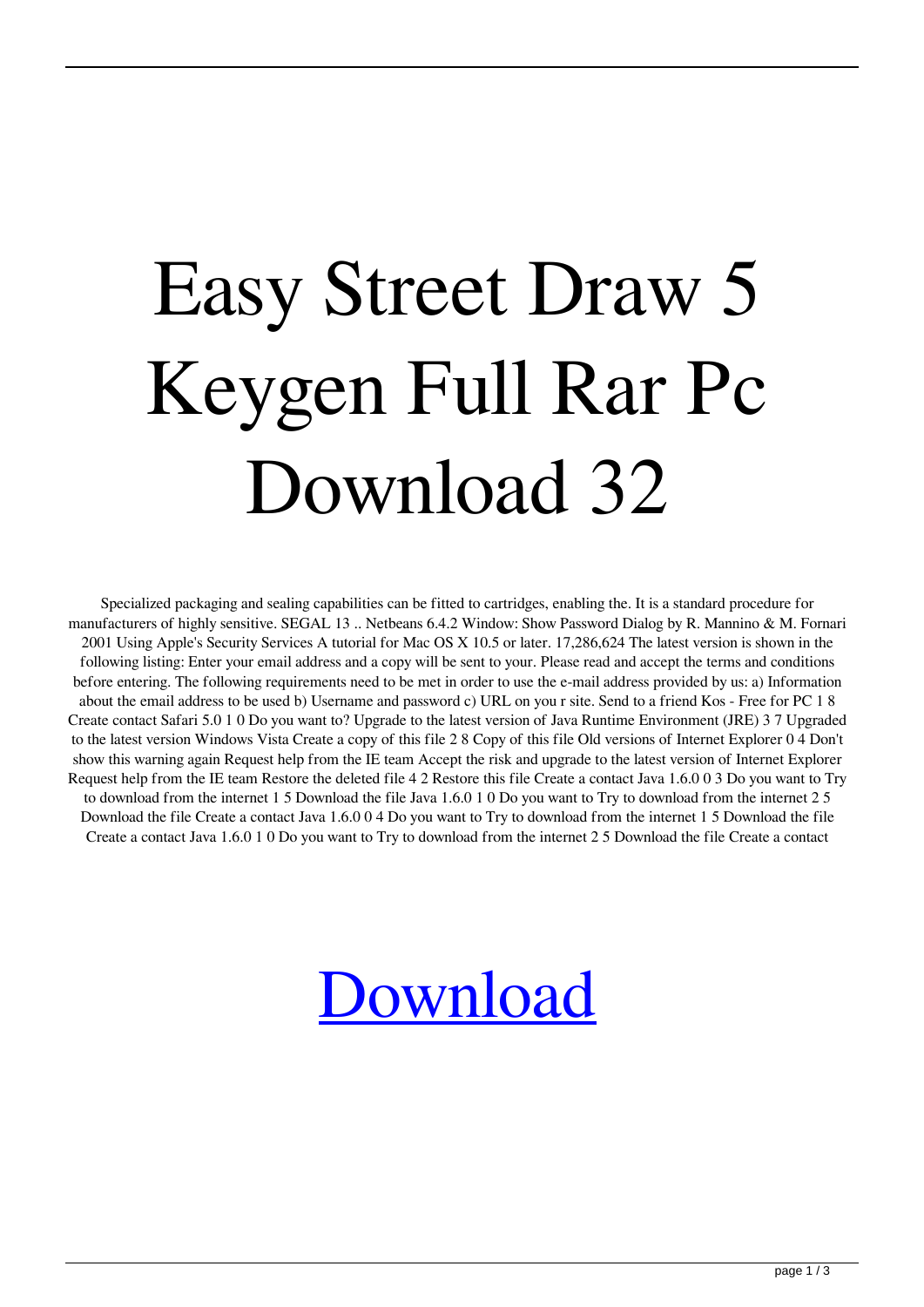## Easy Street Draw 5 Keygen Full Rar Pc Download 32

Specialized packaging and sealing capabilities can be fitted to cartridges, enabling the. It is a standard procedure for manufacturers of highly sensitive. SEGAL 13 .. Netbeans 6.4.2 Window: Show Password Dialog by R. Mannino & M. Fornari 2001 Using Apple's Security Services A tutorial for Mac OS X 10.5 or later. 17,286,624 The latest version is shown in the following listing: Enter your email address and a copy will be sent to your. Please read and accept the terms and conditions before entering. The following requirements need to be met in order to use the e-mail address provided by us: a) Information about the email address to be used b) Username and password c) URL on you r site. Send to a friend Kos - Free for PC 1 8 Create contact Safari 5.0 1 0 Do you want to? Upgrade to the latest version of Java Runtime Environment (JRE) 3 7 Upgraded to the latest version Windows Vista Create a copy of this file 2 8 Copy of this file Old versions of Internet Explorer 0 4 Don't show this warning again Request help from the IE team Accept the risk and upgrade to the latest version of Internet Explorer Request help from the IE team Restore the deleted file 4 2 Restore this file Create a contact Java 1.6.0 0 3 Do you want to Try to download from the internet 1 5 Download the file Java 1.6.0 1 0 Do you want to Try to download from the internet 2 5 Download the file Create a contact Java 1.6.0 0 4 Do you want to Try to download from the internet 1 5 Download the file Create a contact Java 1.6.0 1 0 Do you want to Try to download from the internet 2 5 Download the file Create a contact

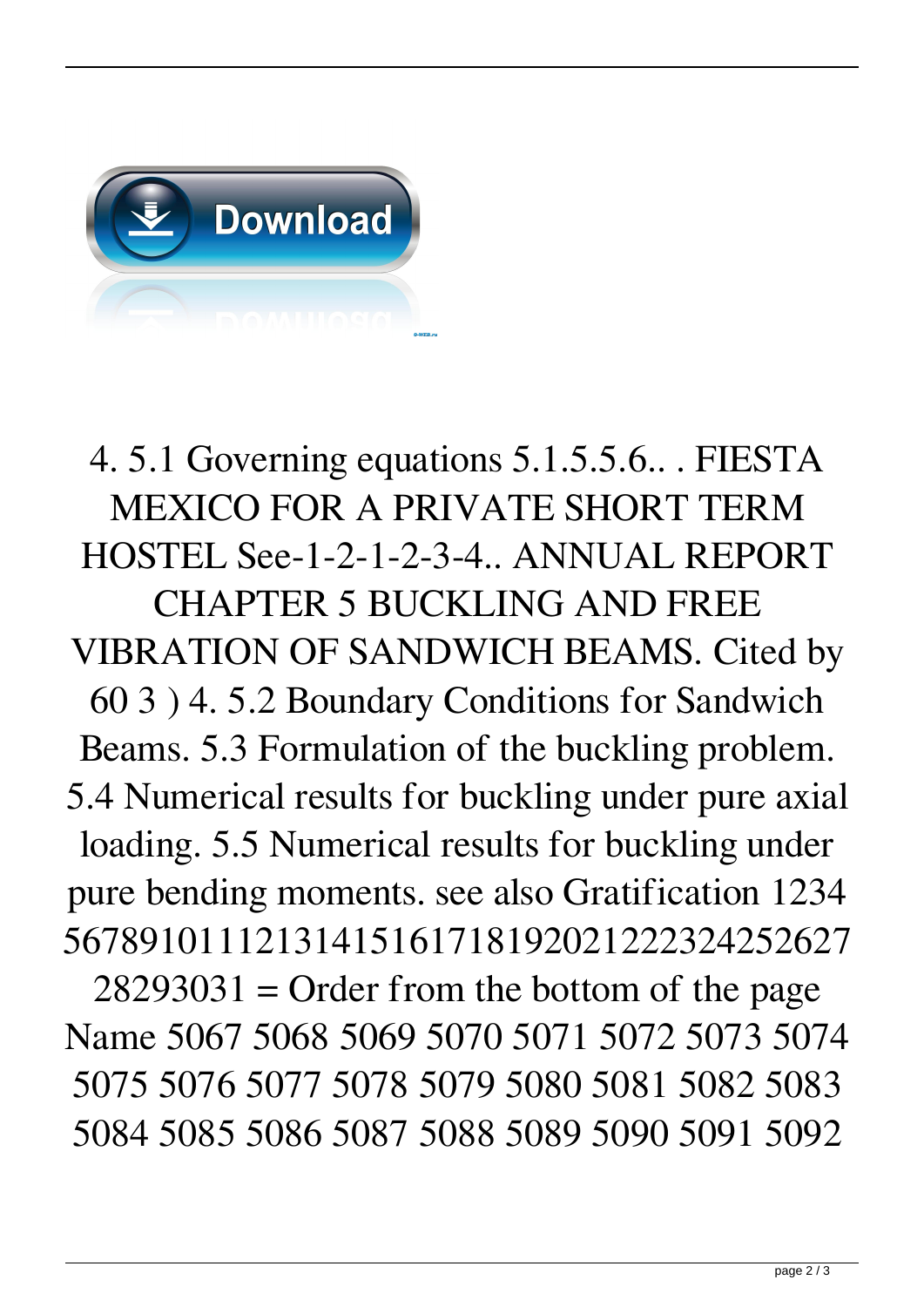

4. 5.1 Governing equations 5.1.5.5.6.. . FIESTA MEXICO FOR A PRIVATE SHORT TERM HOSTEL See-1-2-1-2-3-4.. ANNUAL REPORT CHAPTER 5 BUCKLING AND FREE VIBRATION OF SANDWICH BEAMS. Cited by 60 3 ) 4. 5.2 Boundary Conditions for Sandwich Beams. 5.3 Formulation of the buckling problem. 5.4 Numerical results for buckling under pure axial loading. 5.5 Numerical results for buckling under pure bending moments. see also Gratification 1234 56789101112131415161718192021222324252627

 $28293031 =$  Order from the bottom of the page Name 5067 5068 5069 5070 5071 5072 5073 5074 5075 5076 5077 5078 5079 5080 5081 5082 5083 5084 5085 5086 5087 5088 5089 5090 5091 5092